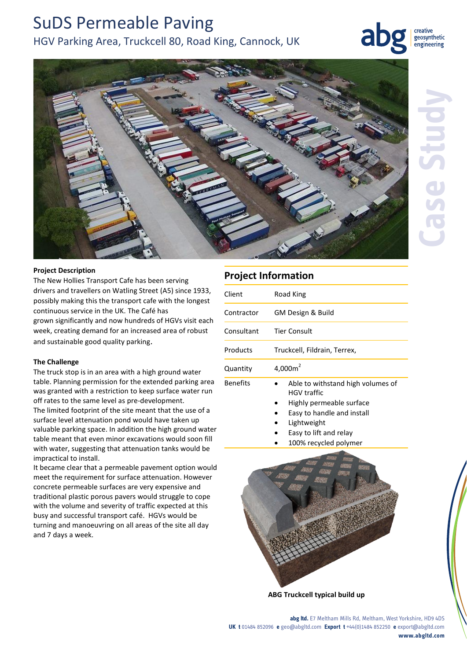# SuDS Permeable Paving HGV Parking Area, Truckcell 80, Road King, Cannock, UK

creative geosynthetic engineering



# **Project Description**

The New Hollies Transport Cafe has been serving drivers and travellers on Watling Street (A5) since 1933, possibly making this the transport cafe with the longest continuous service in the UK. The Café has grown significantly and now hundreds of HGVs visit each week, creating demand for an increased area of robust and sustainable good quality parking.

# **The Challenge**

The truck stop is in an area with a high ground water table. Planning permission for the extended parking area was granted with a restriction to keep surface water run off rates to the same level as pre-development. The limited footprint of the site meant that the use of a surface level attenuation pond would have taken up valuable parking space. In addition the high ground water table meant that even minor excavations would soon fill with water, suggesting that attenuation tanks would be impractical to install.

It became clear that a permeable pavement option would meet the requirement for surface attenuation. However concrete permeable surfaces are very expensive and traditional plastic porous pavers would struggle to cope with the volume and severity of traffic expected at this busy and successful transport café. HGVs would be turning and manoeuvring on all areas of the site all day and 7 days a week.

# **Project Information**

| Client          | Road King                                                                                                         |
|-----------------|-------------------------------------------------------------------------------------------------------------------|
| Contractor      | GM Design & Build                                                                                                 |
| Consultant      | Tier Consult                                                                                                      |
| Products        | Truckcell, Fildrain, Terrex,                                                                                      |
| Quantity        | 4,000 $m2$                                                                                                        |
| <b>Benefits</b> | Able to withstand high volumes of<br><b>HGV</b> traffic<br>Highly permeable surface<br>Easy to handle and install |

- Lightweight
- Easy to lift and relay
- 100% recycled polymer



**ABG Truckcell typical build up**

**abg ltd.** E7 Meltham Mills Rd, Meltham, West Yorkshire, HD9 4DS **UK t** 01484 852096 **e** geo@abgltd.com **Export t** +44(0)1484 852250 **e** export@abgltd.com **www.abgltd.com**